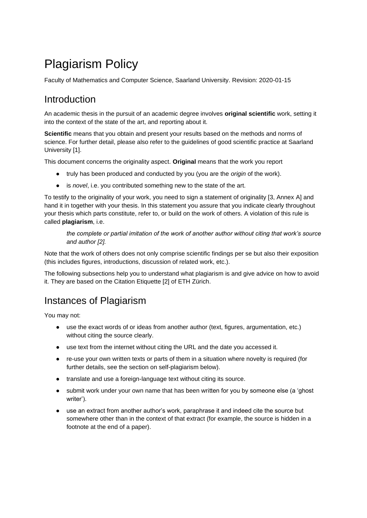# Plagiarism Policy

Faculty of Mathematics and Computer Science, Saarland University. Revision: 2020-01-15

### Introduction

An academic thesis in the pursuit of an academic degree involves **original scientific** work, setting it into the context of the state of the art, and reporting about it.

**Scientific** means that you obtain and present your results based on the methods and norms of science. For further detail, please also refer to the guidelines of good scientific practice at Saarland University [1].

This document concerns the originality aspect. **Original** means that the work you report

- truly has been produced and conducted by you (you are the *origin* of the work).
- is *novel*, i.e. you contributed something new to the state of the art.

To testify to the originality of your work, you need to sign a statement of originality [3, Annex A] and hand it in together with your thesis. In this statement you assure that you indicate clearly throughout your thesis which parts constitute, refer to, or build on the work of others. A violation of this rule is called **plagiarism**, i.e.

*the complete or partial imitation of the work of another author without citing that work's source and author [2].* 

Note that the work of others does not only comprise scientific findings per se but also their exposition (this includes figures, introductions, discussion of related work, etc.).

The following subsections help you to understand what plagiarism is and give advice on how to avoid it. They are based on the Citation Etiquette [2] of ETH Zürich.

### Instances of Plagiarism

You may not:

- use the exact words of or ideas from another author (text, figures, argumentation, etc.) without citing the source clearly.
- use text from the internet without citing the URL and the date you accessed it.
- re-use your own written texts or parts of them in a situation where novelty is required (for further details, see the section on self-plagiarism below).
- translate and use a foreign-language text without citing its source.
- submit work under your own name that has been written for you by someone else (a 'ghost writer').
- use an extract from another author's work, paraphrase it and indeed cite the source but somewhere other than in the context of that extract (for example, the source is hidden in a footnote at the end of a paper).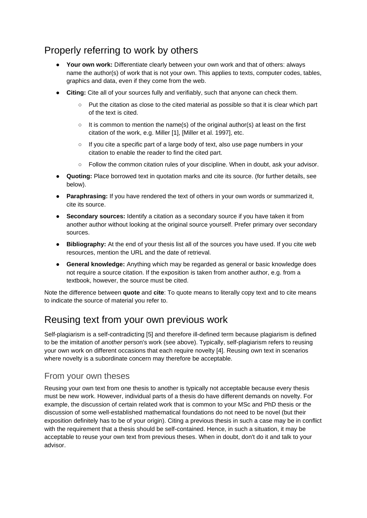# Properly referring to work by others

- **Your own work:** Differentiate clearly between your own work and that of others: always name the author(s) of work that is not your own. This applies to texts, computer codes, tables, graphics and data, even if they come from the web.
- **Citing:** Cite all of your sources fully and verifiably, such that anyone can check them.
	- Put the citation as close to the cited material as possible so that it is clear which part of the text is cited.
	- It is common to mention the name(s) of the original author(s) at least on the first citation of the work, e.g. Miller [1], [Miller et al. 1997], etc.
	- If you cite a specific part of a large body of text, also use page numbers in your citation to enable the reader to find the cited part.
	- Follow the common citation rules of your discipline. When in doubt, ask your advisor.
- **Quoting:** Place borrowed text in quotation marks and cite its source. (for further details, see below).
- **Paraphrasing:** If you have rendered the text of others in your own words or summarized it, cite its source.
- **Secondary sources:** Identify a citation as a secondary source if you have taken it from another author without looking at the original source yourself. Prefer primary over secondary sources.
- **Bibliography:** At the end of your thesis list all of the sources you have used. If you cite web resources, mention the URL and the date of retrieval.
- **General knowledge:** Anything which may be regarded as general or basic knowledge does not require a source citation. If the exposition is taken from another author, e.g. from a textbook, however, the source must be cited.

Note the difference between **quote** and **cite**: To quote means to literally copy text and to cite means to indicate the source of material you refer to.

### Reusing text from your own previous work

Self-plagiarism is a self-contradicting [5] and therefore ill-defined term because plagiarism is defined to be the imitation of *another* person's work (see above). Typically, self-plagiarism refers to reusing your own work on different occasions that each require novelty [4]. Reusing own text in scenarios where novelty is a subordinate concern may therefore be acceptable.

#### From your own theses

Reusing your own text from one thesis to another is typically not acceptable because every thesis must be new work. However, individual parts of a thesis do have different demands on novelty. For example, the discussion of certain related work that is common to your MSc and PhD thesis or the discussion of some well-established mathematical foundations do not need to be novel (but their exposition definitely has to be of your origin). Citing a previous thesis in such a case may be in conflict with the requirement that a thesis should be self-contained. Hence, in such a situation, it may be acceptable to reuse your own text from previous theses. When in doubt, don't do it and talk to your advisor.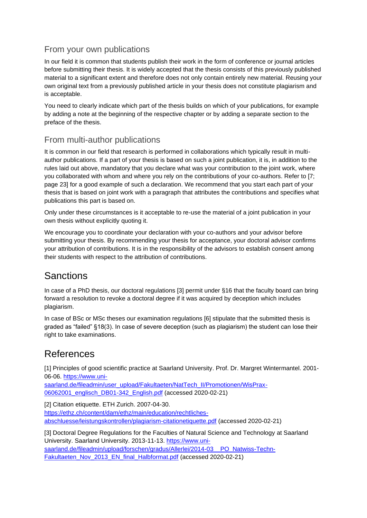### From your own publications

In our field it is common that students publish their work in the form of conference or journal articles before submitting their thesis. It is widely accepted that the thesis consists of this previously published material to a significant extent and therefore does not only contain entirely new material. Reusing your own original text from a previously published article in your thesis does not constitute plagiarism and is acceptable.

You need to clearly indicate which part of the thesis builds on which of your publications, for example by adding a note at the beginning of the respective chapter or by adding a separate section to the preface of the thesis.

### From multi-author publications

It is common in our field that research is performed in collaborations which typically result in multiauthor publications. If a part of your thesis is based on such a joint publication, it is, in addition to the rules laid out above, mandatory that you declare what was your contribution to the joint work, where you collaborated with whom and where you rely on the contributions of your co-authors. Refer to [7; page 23] for a good example of such a declaration. We recommend that you start each part of your thesis that is based on joint work with a paragraph that attributes the contributions and specifies what publications this part is based on.

Only under these circumstances is it acceptable to re-use the material of a joint publication in your own thesis without explicitly quoting it.

We encourage you to coordinate your declaration with your co-authors and your advisor before submitting your thesis. By recommending your thesis for acceptance, your doctoral advisor confirms your attribution of contributions. It is in the responsibility of the advisors to establish consent among their students with respect to the attribution of contributions.

### **Sanctions**

In case of a PhD thesis, our doctoral regulations [3] permit under §16 that the faculty board can bring forward a resolution to revoke a doctoral degree if it was acquired by deception which includes plagiarism.

In case of BSc or MSc theses our examination regulations [6] stipulate that the submitted thesis is graded as "failed" §18(3). In case of severe deception (such as plagiarism) the student can lose their right to take examinations.

# References

[1] Principles of good scientific practice at Saarland University. Prof. Dr. Margret Wintermantel. 2001- 06-06. [https://www.uni-](https://www.uni-saarland.de/fileadmin/user_upload/Fakultaeten/NatTech_II/Promotionen/WisPrax-06062001_englisch_DB01-342_English.pdf)

[saarland.de/fileadmin/user\\_upload/Fakultaeten/NatTech\\_II/Promotionen/WisPrax-](https://www.uni-saarland.de/fileadmin/user_upload/Fakultaeten/NatTech_II/Promotionen/WisPrax-06062001_englisch_DB01-342_English.pdf)[06062001\\_englisch\\_DB01-342\\_English.pdf](https://www.uni-saarland.de/fileadmin/user_upload/Fakultaeten/NatTech_II/Promotionen/WisPrax-06062001_englisch_DB01-342_English.pdf) (accessed 2020-02-21)

[2] Citation etiquette. ETH Zurich. 2007-04-30.

[https://ethz.ch/content/dam/ethz/main/education/rechtliches](https://ethz.ch/content/dam/ethz/main/education/rechtliches-abschluesse/leistungskontrollen/plagiarism-citationetiquette.pdf)[abschluesse/leistungskontrollen/plagiarism-citationetiquette.pdf](https://ethz.ch/content/dam/ethz/main/education/rechtliches-abschluesse/leistungskontrollen/plagiarism-citationetiquette.pdf) (accessed 2020-02-21)

[3] Doctoral Degree Regulations for the Faculties of Natural Science and Technology at Saarland University. Saarland University. 2013-11-13. [https://www.uni](https://www.uni-saarland.de/fileadmin/upload/forschen/gradus/Allerlei/2014-03__PO_Natwiss-Techn-Fakultaeten_Nov_2013_EN_final_Halbformat.pdf)saarland.de/fileadmin/upload/forschen/gradus/Allerlei/2014-03\_PO\_Natwiss-Techn-[Fakultaeten\\_Nov\\_2013\\_EN\\_final\\_Halbformat.pdf](https://www.uni-saarland.de/fileadmin/upload/forschen/gradus/Allerlei/2014-03__PO_Natwiss-Techn-Fakultaeten_Nov_2013_EN_final_Halbformat.pdf) (accessed 2020-02-21)